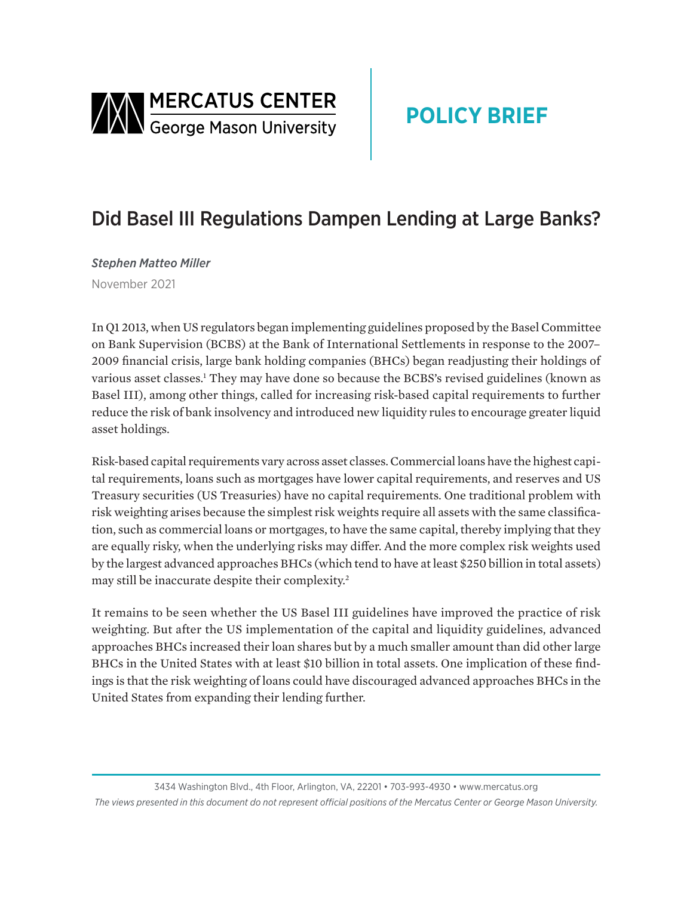<span id="page-0-0"></span>

# **POLICY BRIEF**

# Did Basel III Regulations Dampen Lending at Large Banks?

*Stephen Matteo Miller* November 2021

In Q1 2013, when US regulators began implementing guidelines proposed by the Basel Committee on Bank Supervision (BCBS) at the Bank of International Settlements in response to the 2007– 2009 financial crisis, large bank holding companies (BHCs) began readjusting their holdings of various asset classes.[1](#page-4-0) They may have done so because the BCBS's revised guidelines (known as Basel III), among other things, called for increasing risk-based capital requirements to further reduce the risk of bank insolvency and introduced new liquidity rules to encourage greater liquid asset holdings.

Risk-based capital requirements vary across asset classes. Commercial loans have the highest capital requirements, loans such as mortgages have lower capital requirements, and reserves and US Treasury securities (US Treasuries) have no capital requirements. One traditional problem with risk weighting arises because the simplest risk weights require all assets with the same classification, such as commercial loans or mortgages, to have the same capital, thereby implying that they are equally risky, when the underlying risks may differ. And the more complex risk weights used by the largest advanced approaches BHCs (which tend to have at least \$250 billion in total assets) may still be inaccurate despite their complexity[.2](#page-4-0)

It remains to be seen whether the US Basel III guidelines have improved the practice of risk weighting. But after the US implementation of the capital and liquidity guidelines, advanced approaches BHCs increased their loan shares but by a much smaller amount than did other large BHCs in the United States with at least \$10 billion in total assets. One implication of these findings is that the risk weighting of loans could have discouraged advanced approaches BHCs in the United States from expanding their lending further.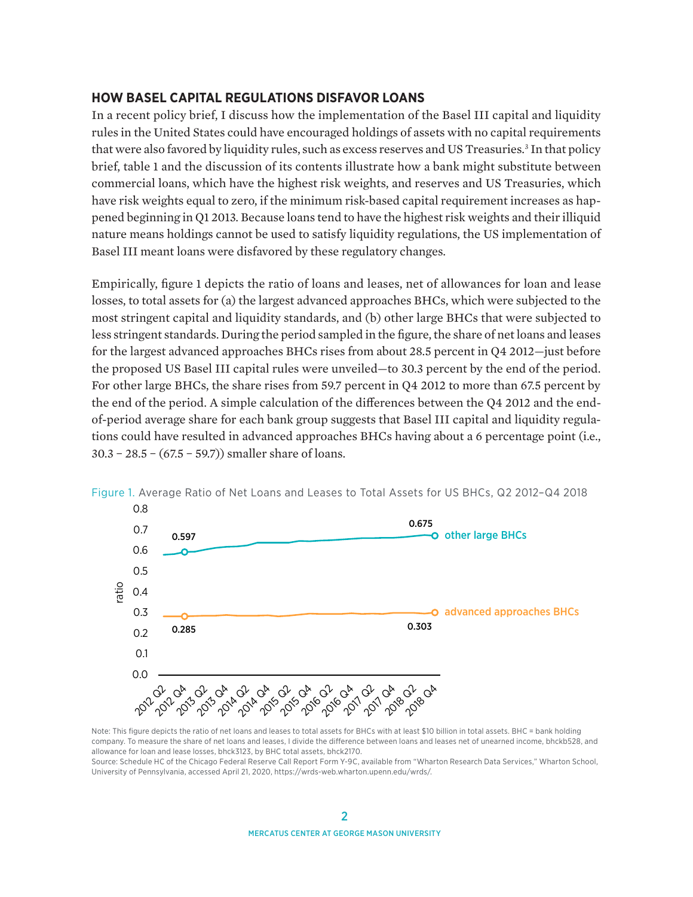### <span id="page-1-0"></span>**HOW BASEL CAPITAL REGULATIONS DISFAVOR LOANS**

In a recent policy brief, I discuss how the implementation of the Basel III capital and liquidity rules in the United States could have encouraged holdings of assets with no capital requirements that were also favored by liquidity rules, such as excess reserves and US Treasuries.<sup>[3](#page-4-0)</sup> In that policy brief, table 1 and the discussion of its contents illustrate how a bank might substitute between commercial loans, which have the highest risk weights, and reserves and US Treasuries, which have risk weights equal to zero, if the minimum risk-based capital requirement increases as happened beginning in Q1 2013. Because loans tend to have the highest risk weights and their illiquid nature means holdings cannot be used to satisfy liquidity regulations, the US implementation of Basel III meant loans were disfavored by these regulatory changes.

Empirically, figure 1 depicts the ratio of loans and leases, net of allowances for loan and lease losses, to total assets for (a) the largest advanced approaches BHCs, which were subjected to the most stringent capital and liquidity standards, and (b) other large BHCs that were subjected to less stringent standards. During the period sampled in the figure, the share of net loans and leases for the largest advanced approaches BHCs rises from about 28.5 percent in Q4 2012—just before the proposed US Basel III capital rules were unveiled—to 30.3 percent by the end of the period. For other large BHCs, the share rises from 59.7 percent in Q4 2012 to more than 67.5 percent by the end of the period. A simple calculation of the differences between the Q4 2012 and the endof-period average share for each bank group suggests that Basel III capital and liquidity regulations could have resulted in advanced approaches BHCs having about a 6 percentage point (i.e., 30.3 − 28.5 − (67.5 − 59.7)) smaller share of loans.



Figure 1. Average Ratio of Net Loans and Leases to Total Assets for US BHCs, Q2 2012–Q4 2018

Note: This figure depicts the ratio of net loans and leases to total assets for BHCs with at least \$10 billion in total assets. BHC = bank holding company. To measure the share of net loans and leases, I divide the difference between loans and leases net of unearned income, bhckb528, and allowance for loan and lease losses, bhck3123, by BHC total assets, bhck2170.

Source: Schedule HC of the Chicago Federal Reserve Call Report Form Y-9C, available from "Wharton Research Data Services," Wharton School, University of Pennsylvania, accessed April 21, 2020, [https://wrds-web.wharton.upenn.edu/wrds/.](https://wrds-web.wharton.upenn.edu/wrds/)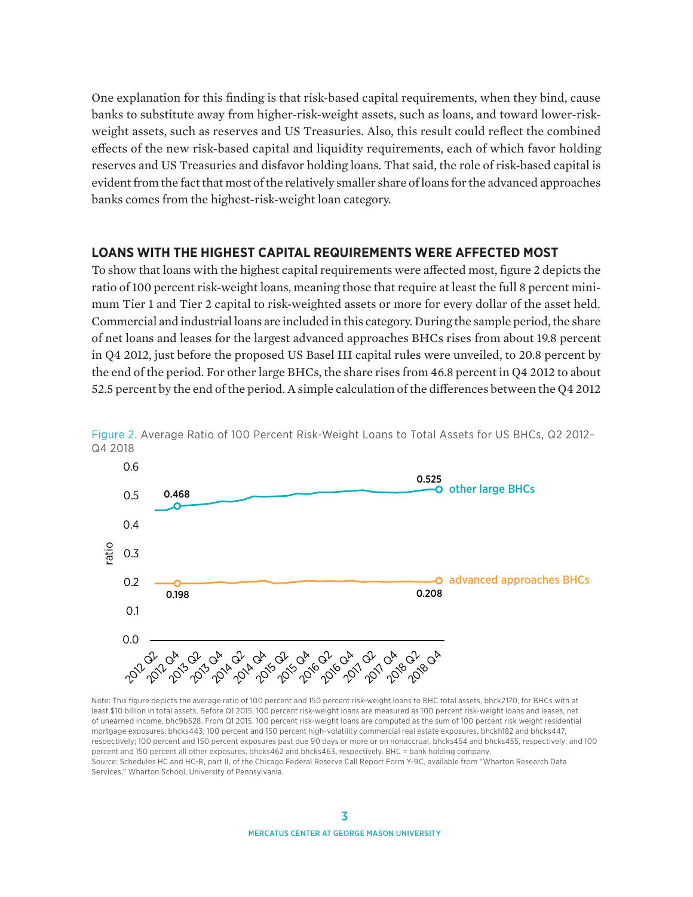One explanation for this finding is that risk-based capital requirements, when they bind, cause banks to substitute away from higher-risk-weight assets, such as loans, and toward lower-riskweight assets, such as reserves and US Treasuries. Also, this result could reflect the combined effects of the new risk-based capital and liquidity requirements, each of which favor holding reserves and US Treasuries and disfavor holding loans. That said, the role of risk-based capital is evident from the fact that most of the relatively smaller share of loans for the advanced approaches banks comes from the highest-risk-weight loan category.

#### **LOANS WITH THE HIGHEST CAPITAL REQUIREMENTS WERE AFFECTED MOST**

To show that loans with the highest capital requirements were affected most, figure 2 depicts the ratio of 100 percent risk-weight loans, meaning those that require at least the full 8 percent minimum Tier 1 and Tier 2 capital to risk-weighted assets or more for every dollar of the asset held. Commercial and industrial loans are included in this category. During the sample period, the share of net loans and leases for the largest advanced approaches BHCs rises from about 19.8 percent in Q4 2012, just before the proposed US Basel III capital rules were unveiled, to 20.8 percent by the end of the period. For other large BHCs, the share rises from 46.8 percent in Q4 2012 to about 52.5 percent by the end of the period. A simple calculation of the differences between the Q4 2012



Figure 2. Average Ratio of 100 Percent Risk-Weight Loans to Total Assets for US BHCs, Q2 2012– Q4 2018

Note: This figure depicts the average ratio of 100 percent and 150 percent risk-weight loans to BHC total assets, bhck2170, for BHCs with at least \$10 billion in total assets. Before Q1 2015, 100 percent risk-weight loans are measured as 100 percent risk-weight loans and leases, net of unearned income, bhc9b528. From Q1 2015, 100 percent risk-weight loans are computed as the sum of 100 percent risk weight residential mortgage exposures, bhcks443; 100 percent and 150 percent high-volatility commercial real estate exposures, bhckh182 and bhcks447, respectively; 100 percent and 150 percent exposures past due 90 days or more or on nonaccrual, bhcks454 and bhcks455, respectively; and 100 percent and 150 percent all other exposures, bhcks462 and bhcks463, respectively. BHC = bank holding company. Source: Schedules HC and HC-R, part II, of the Chicago Federal Reserve Call Report Form Y-9C, available from "Wharton Research Data Services," Wharton School, University of Pennsylvania.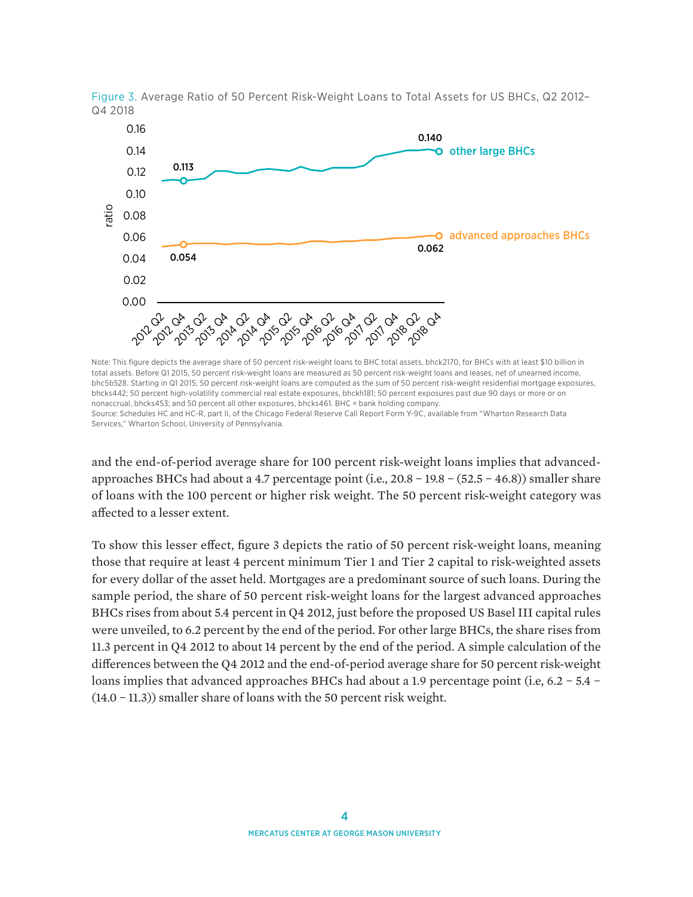

Figure 3. Average Ratio of 50 Percent Risk-Weight Loans to Total Assets for US BHCs, Q2 2012– Q4 2018

Note: This figure depicts the average share of 50 percent risk-weight loans to BHC total assets, bhck2170, for BHCs with at least \$10 billion in total assets. Before Q1 2015, 50 percent risk-weight loans are measured as 50 percent risk-weight loans and leases, net of unearned income, bhc5b528. Starting in Q1 2015, 50 percent risk-weight loans are computed as the sum of 50 percent risk-weight residential mortgage exposures, bhcks442; 50 percent high-volatility commercial real estate exposures, bhckh181; 50 percent exposures past due 90 days or more or on nonaccrual, bhcks453; and 50 percent all other exposures, bhcks461. BHC = bank holding company. Source: Schedules HC and HC-R, part II, of the Chicago Federal Reserve Call Report Form Y-9C, available from "Wharton Research Data Services," Wharton School, University of Pennsylvania.

and the end-of-period average share for 100 percent risk-weight loans implies that advancedapproaches BHCs had about a 4.7 percentage point (i.e., 20.8 − 19.8 − (52.5 − 46.8)) smaller share of loans with the 100 percent or higher risk weight. The 50 percent risk-weight category was affected to a lesser extent.

To show this lesser effect, figure 3 depicts the ratio of 50 percent risk-weight loans, meaning those that require at least 4 percent minimum Tier 1 and Tier 2 capital to risk-weighted assets for every dollar of the asset held. Mortgages are a predominant source of such loans. During the sample period, the share of 50 percent risk-weight loans for the largest advanced approaches BHCs rises from about 5.4 percent in Q4 2012, just before the proposed US Basel III capital rules were unveiled, to 6.2 percent by the end of the period. For other large BHCs, the share rises from 11.3 percent in Q4 2012 to about 14 percent by the end of the period. A simple calculation of the differences between the Q4 2012 and the end-of-period average share for 50 percent risk-weight loans implies that advanced approaches BHCs had about a 1.9 percentage point (i.e, 6.2 − 5.4 − (14.0 − 11.3)) smaller share of loans with the 50 percent risk weight.